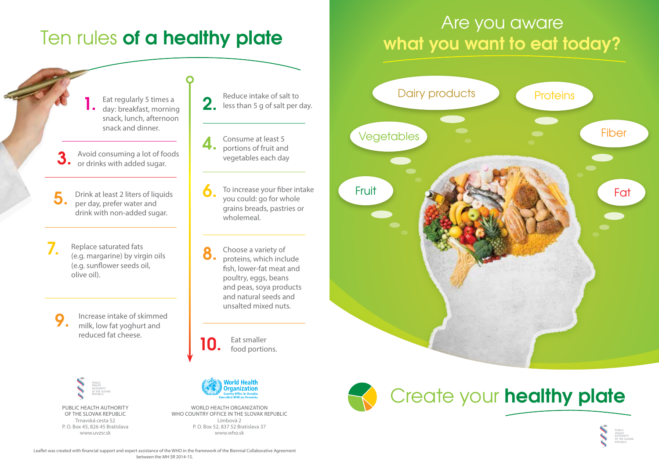## Ten rules of a healthy plate

#### Eat regularly 5 times a day: breakfast, morning snack, lunch, afternoon snack and dinner.

Avoid consuming a lot of foods or drinks with added sugar. 3.

Drink at least 2 liters of liquids per day, prefer water and drink with non-added sugar. 5.

Replace saturated fats (e.g. margarine) by virgin oils (e.g. sunflower seeds oil, olive oil). 7.

Increase intake of skimmed milk, low fat yoghurt and reduced fat cheese. 9.

> PUBLIC HEALTH AUTHORITY OF THE SLOVAK REPUBLIC

Public Health Authority of the Slovak Republic Trnavská cesta 52 P. O. Box 45, 826 45 Bratislava www.uvzsr.sk





To increase your fiber intake you could: go for whole grains breads, pastries or wholemeal. 6.

Choose a variety of proteins, which include fish, lower-fat meat and poultry, eggs, beans and peas, soya products and natural seeds and unsalted mixed nuts. 8.

Eat smaller food portions. 10.



World Health Organization WHO COUNTRY OFFICE IN THE SLOVAK REPUBLIC Limbová 2 P. O. Box 52, 837 52 Bratislava 37 www.who.sk

### Are you aware what you want to eat today?





# Create your healthy plate



Leaflet was created with financial support and expert assistance of the WHO in the framework of the Biennial Collaborative Agreement between the MH SR 2014-15.